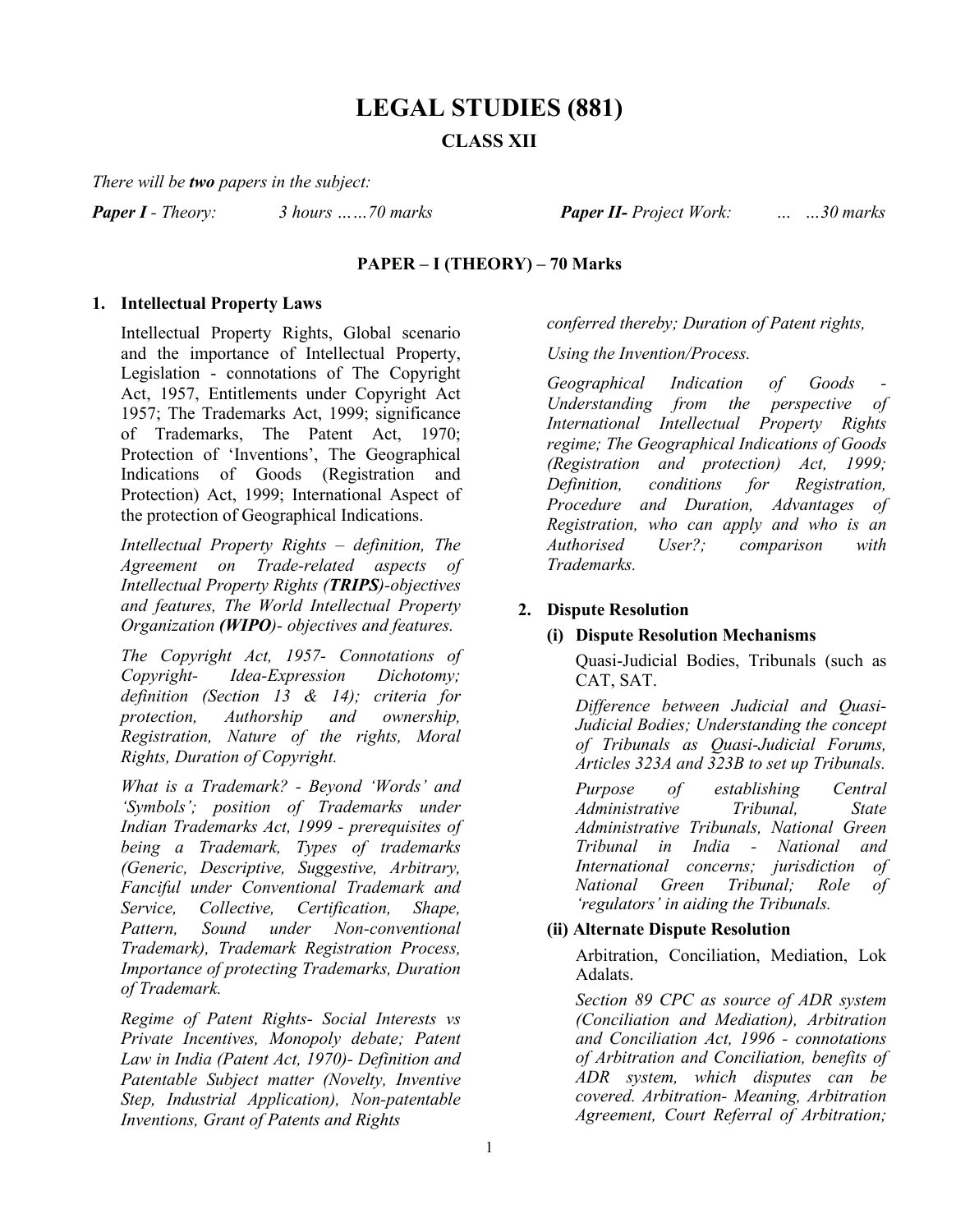# **LEGAL STUDIES (881) CLASS XII**

*There will be two papers in the subject:*

*Paper I - Theory: 3 hours ……70 marks Paper II- Project Work: … …30 marks*

# **PAPER – I (THEORY) – 70 Marks**

### **1. Intellectual Property Laws**

Intellectual Property Rights, Global scenario and the importance of Intellectual Property, Legislation - connotations of The Copyright Act, 1957, Entitlements under Copyright Act 1957; The Trademarks Act, 1999; significance of Trademarks, The Patent Act, 1970; Protection of 'Inventions', The Geographical Indications of Goods (Registration and Protection) Act, 1999; International Aspect of the protection of Geographical Indications.

*Intellectual Property Rights – definition, The Agreement on Trade-related aspects of Intellectual Property Rights (TRIPS)-objectives and features, The World Intellectual Property Organization (WIPO)- objectives and features.*

*The Copyright Act, 1957- Connotations of Copyright- Idea-Expression Dichotomy; definition (Section 13 & 14); criteria for protection, Authorship and ownership, Registration, Nature of the rights, Moral Rights, Duration of Copyright.*

*What is a Trademark? - Beyond 'Words' and 'Symbols'; position of Trademarks under Indian Trademarks Act, 1999 - prerequisites of being a Trademark, Types of trademarks (Generic, Descriptive, Suggestive, Arbitrary, Fanciful under Conventional Trademark and Service, Collective, Certification, Shape, Pattern, Sound under Non-conventional Trademark), Trademark Registration Process, Importance of protecting Trademarks, Duration of Trademark.*

*Regime of Patent Rights- Social Interests vs Private Incentives, Monopoly debate; Patent Law in India (Patent Act, 1970)- Definition and Patentable Subject matter (Novelty, Inventive Step, Industrial Application), Non-patentable Inventions, Grant of Patents and Rights* 

*conferred thereby; Duration of Patent rights,* 

*Using the Invention/Process.*

 $Geographical$  *Indication of Goods Understanding from the perspective of International Intellectual Property Rights regime; The Geographical Indications of Goods (Registration and protection) Act, 1999; Definition, conditions for Registration, Procedure and Duration, Advantages of Registration, who can apply and who is an Authorised User?; comparison with Trademarks.* 

### **2. Dispute Resolution**

### **(i) Dispute Resolution Mechanisms**

Quasi-Judicial Bodies, Tribunals (such as CAT, SAT.

*Difference between Judicial and Quasi-Judicial Bodies; Understanding the concept of Tribunals as Quasi-Judicial Forums, Articles 323A and 323B to set up Tribunals.*

*Purpose of establishing Central Administrative Tribunal, State Administrative Tribunals, National Green Tribunal in India - National and International concerns; jurisdiction of National Green Tribunal; Role of 'regulators' in aiding the Tribunals.*

### **(ii) Alternate Dispute Resolution**

Arbitration, Conciliation, Mediation, Lok Adalats.

*Section 89 CPC as source of ADR system (Conciliation and Mediation), Arbitration and Conciliation Act, 1996 - connotations of Arbitration and Conciliation, benefits of ADR system, which disputes can be covered. Arbitration- Meaning, Arbitration Agreement, Court Referral of Arbitration;*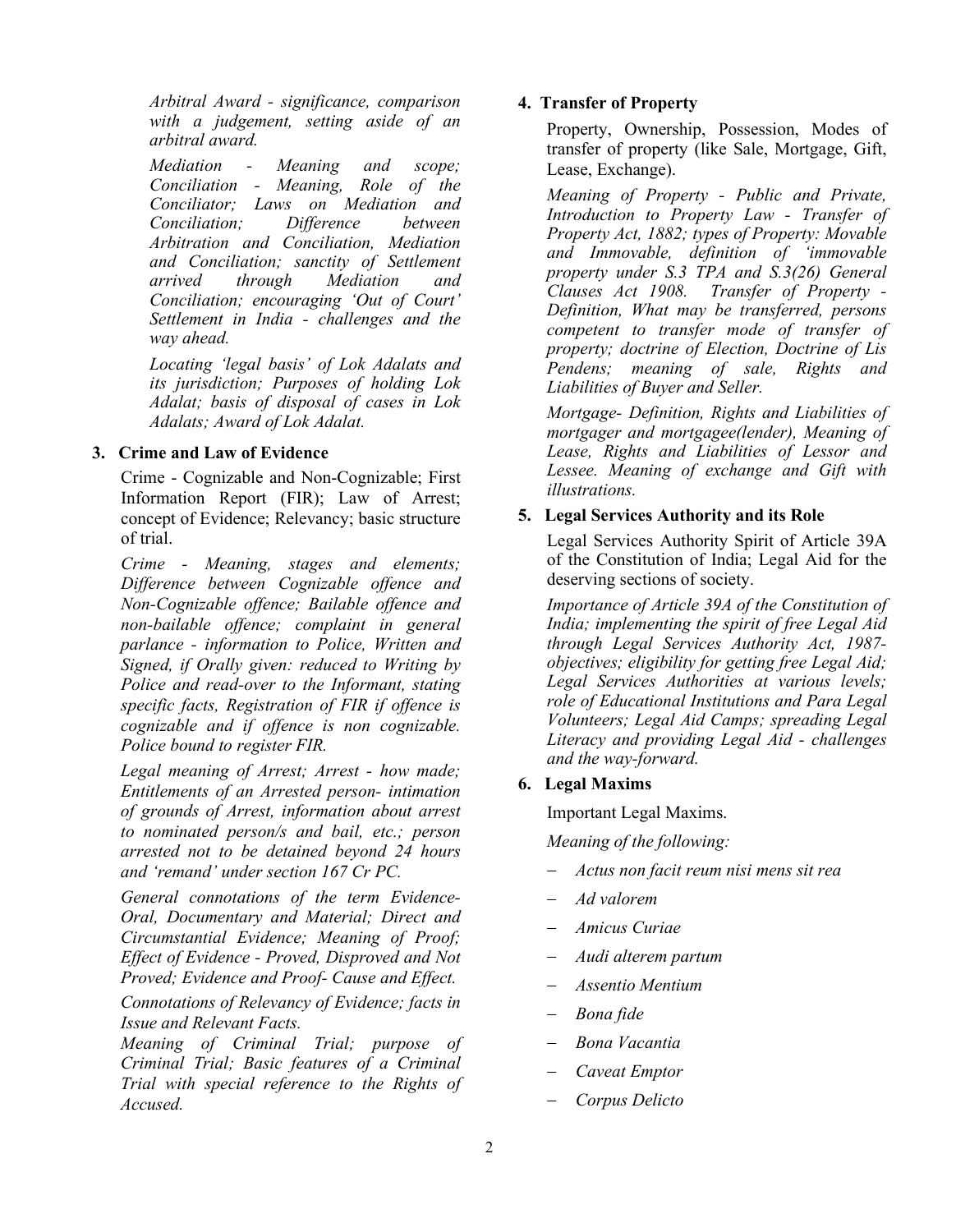*Arbitral Award - significance, comparison with a judgement, setting aside of an arbitral award.*

*Mediation - Meaning and scope; Conciliation - Meaning, Role of the Conciliator; Laws on Mediation and Conciliation: Arbitration and Conciliation, Mediation and Conciliation; sanctity of Settlement Mediation and Conciliation; encouraging 'Out of Court' Settlement in India - challenges and the way ahead.*

*Locating 'legal basis' of Lok Adalats and its jurisdiction; Purposes of holding Lok Adalat; basis of disposal of cases in Lok Adalats; Award of Lok Adalat.*

# **3. Crime and Law of Evidence**

Crime - Cognizable and Non-Cognizable; First Information Report (FIR); Law of Arrest; concept of Evidence; Relevancy; basic structure of trial.

*Crime - Meaning, stages and elements; Difference between Cognizable offence and Non-Cognizable offence; Bailable offence and non-bailable offence; complaint in general parlance - information to Police, Written and Signed, if Orally given: reduced to Writing by Police and read-over to the Informant, stating specific facts, Registration of FIR if offence is cognizable and if offence is non cognizable. Police bound to register FIR.*

*Legal meaning of Arrest; Arrest - how made; Entitlements of an Arrested person- intimation of grounds of Arrest, information about arrest to nominated person/s and bail, etc.; person arrested not to be detained beyond 24 hours and 'remand' under section 167 Cr PC.*

*General connotations of the term Evidence-Oral, Documentary and Material; Direct and Circumstantial Evidence; Meaning of Proof; Effect of Evidence - Proved, Disproved and Not Proved; Evidence and Proof- Cause and Effect.*

*Connotations of Relevancy of Evidence; facts in Issue and Relevant Facts.*

*Meaning of Criminal Trial; purpose of Criminal Trial; Basic features of a Criminal Trial with special reference to the Rights of Accused.*

# **4. Transfer of Property**

Property, Ownership, Possession, Modes of transfer of property (like Sale, Mortgage, Gift, Lease, Exchange).

*Meaning of Property - Public and Private, Introduction to Property Law - Transfer of Property Act, 1882; types of Property: Movable and Immovable, definition of 'immovable property under S.3 TPA and S.3(26) General Clauses Act 1908. Transfer of Property - Definition, What may be transferred, persons competent to transfer mode of transfer of property; doctrine of Election, Doctrine of Lis Pendens; meaning of sale, Rights and Liabilities of Buyer and Seller.*

*Mortgage- Definition, Rights and Liabilities of mortgager and mortgagee(lender), Meaning of Lease, Rights and Liabilities of Lessor and Lessee. Meaning of exchange and Gift with illustrations.*

# **5. Legal Services Authority and its Role**

Legal Services Authority Spirit of Article 39A of the Constitution of India; Legal Aid for the deserving sections of society.

*Importance of Article 39A of the Constitution of India; implementing the spirit of free Legal Aid through Legal Services Authority Act, 1987 objectives; eligibility for getting free Legal Aid; Legal Services Authorities at various levels; role of Educational Institutions and Para Legal Volunteers; Legal Aid Camps; spreading Legal Literacy and providing Legal Aid - challenges and the way-forward.*

# **6. Legal Maxims**

Important Legal Maxims.

*Meaning of the following:* 

- − *Actus non facit reum nisi mens sit rea*
- − *Ad valorem*
- − *Amicus Curiae*
- − *Audi alterem partum*
- − *Assentio Mentium*
- − *Bona fide*
- − *Bona Vacantia*
- − *Caveat Emptor*
- − *Corpus Delicto*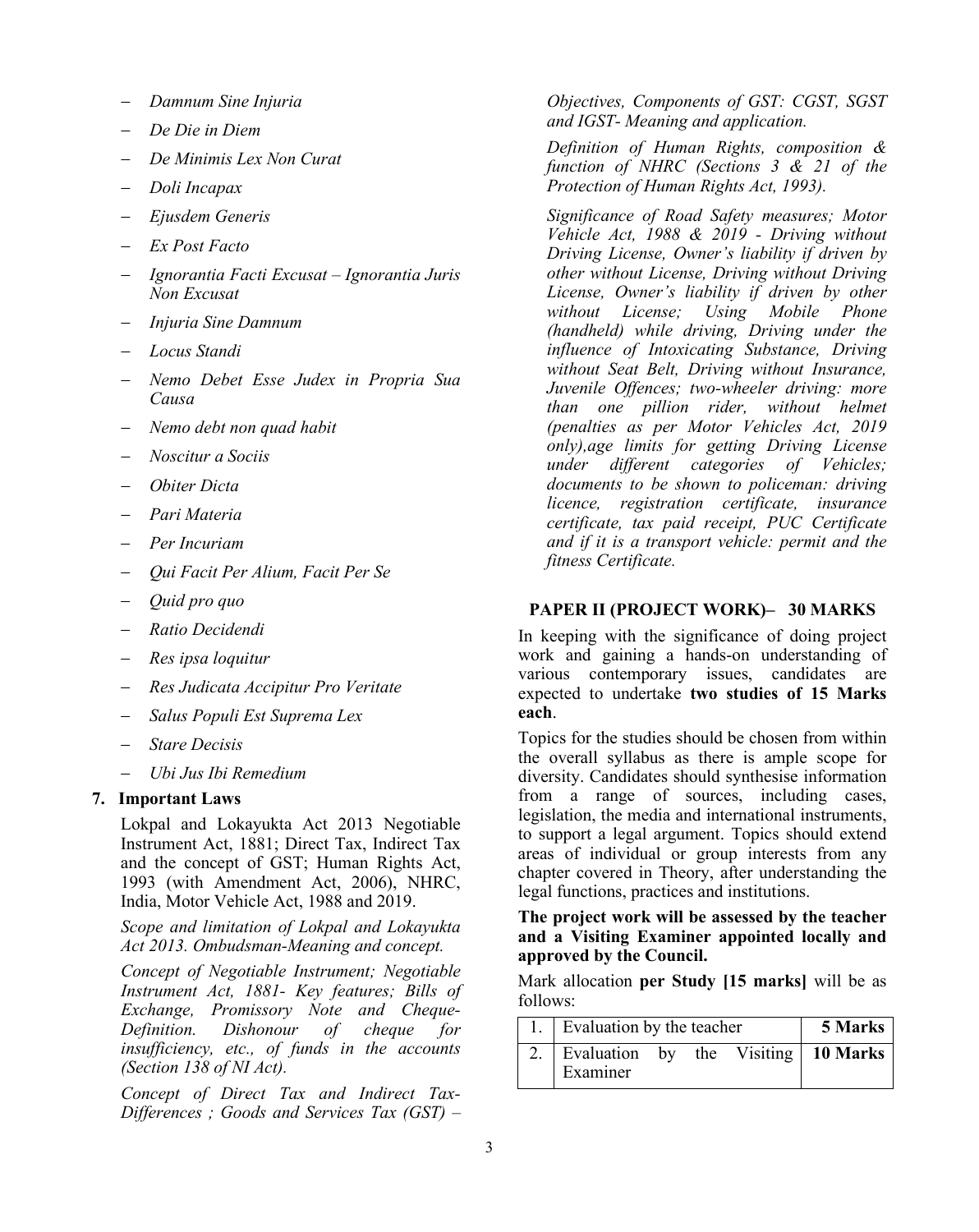- − *Damnum Sine Injuria*
- − *De Die in Diem*
- − *De Minimis Lex Non Curat*
- − *Doli Incapax*
- − *Ejusdem Generis*
- − *Ex Post Facto*
- − *Ignorantia Facti Excusat – Ignorantia Juris Non Excusat*
- − *Injuria Sine Damnum*
- − *Locus Standi*
- − *Nemo Debet Esse Judex in Propria Sua Causa*
- − *Nemo debt non quad habit*
- − *Noscitur a Sociis*
- − *Obiter Dicta*
- − *Pari Materia*
- − *Per Incuriam*
- − *Qui Facit Per Alium, Facit Per Se*
- − *Quid pro quo*
- − *Ratio Decidendi*
- − *Res ipsa loquitur*
- − *Res Judicata Accipitur Pro Veritate*
- − *Salus Populi Est Suprema Lex*
- − *Stare Decisis*
- − *Ubi Jus Ibi Remedium*

#### **7. Important Laws**

Lokpal and Lokayukta Act 2013 Negotiable Instrument Act, 1881; Direct Tax, Indirect Tax and the concept of GST; [Human Rights Act,](http://nhrc.nic.in/HumanRightsAct.htm)  [1993 \(with Amendment Act, 2006\), NHRC,](http://nhrc.nic.in/HumanRightsAct.htm)  [India,](http://nhrc.nic.in/HumanRightsAct.htm) Motor Vehicle Act, 1988 and 2019.

*Scope and limitation of Lokpal and Lokayukta Act 2013. Ombudsman-Meaning and concept.*

*Concept of Negotiable Instrument; Negotiable Instrument Act, 1881- Key features; Bills of Exchange, Promissory Note and Cheque-Definition. Dishonour of cheque for insufficiency, etc., of funds in the accounts (Section 138 of NI Act).*

*Concept of Direct Tax and Indirect Tax-Differences ; Goods and Services Tax (GST) –*

*Objectives, Components of GST: CGST, SGST and IGST- Meaning and application.*

*Definition of Human Rights, composition & function of NHRC (Sections 3 & 21 of the Protection of Human Rights Act, 1993).*

*Significance of Road Safety measures; Motor Vehicle Act, 1988 & 2019 - Driving without Driving License, Owner's liability if driven by other without License, Driving without Driving License, Owner's liability if driven by other without License; Using Mobile Phone (handheld) while driving, Driving under the influence of Intoxicating Substance, Driving without Seat Belt, Driving without Insurance, Juvenile Offences; two-wheeler driving: more than one pillion rider, without helmet (penalties as per Motor Vehicles Act, 2019 only),age limits for getting Driving License under different categories of Vehicles; documents to be shown to policeman: driving licence, registration certificate, insurance certificate, tax paid receipt, PUC Certificate and if it is a transport vehicle: permit and the fitness Certificate.*

## **PAPER II (PROJECT WORK)– 30 MARKS**

In keeping with the significance of doing project work and gaining a hands-on understanding of various contemporary issues, candidates are expected to undertake **two studies of 15 Marks each**.

Topics for the studies should be chosen from within the overall syllabus as there is ample scope for diversity. Candidates should synthesise information from a range of sources, including cases, legislation, the media and international instruments, to support a legal argument. Topics should extend areas of individual or group interests from any chapter covered in Theory, after understanding the legal functions, practices and institutions.

#### **The project work will be assessed by the teacher and a Visiting Examiner appointed locally and approved by the Council.**

Mark allocation **per Study [15 marks]** will be as follows:

|  | 1. Evaluation by the teacher                       | 5 Marks |  |  |  |
|--|----------------------------------------------------|---------|--|--|--|
|  | 2. Evaluation by the Visiting 10 Marks<br>Examiner |         |  |  |  |